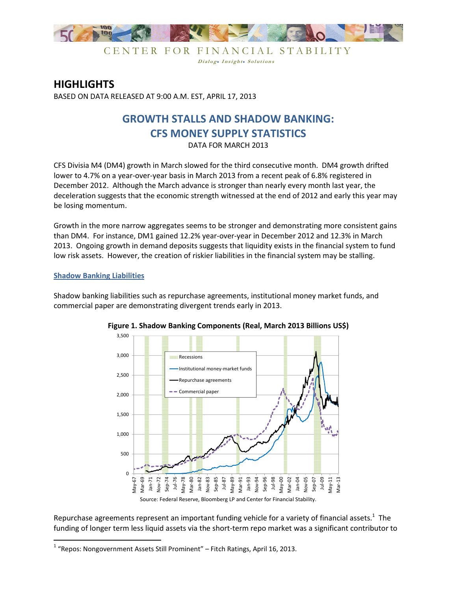

CENTER FOR FINANCIAL STABILITY Dialog. Insight. Solutions

## **HIGHLIGHTS**

BASED ON DATA RELEASED AT 9:00 A.M. EST, APRIL 17, 2013

# **GROWTH STALLS AND SHADOW BANKING: CFS MONEY SUPPLY STATISTICS**

DATA FOR MARCH 2013

CFS Divisia M4 (DM4) growth in March slowed for the third consecutive month. DM4 growth drifted lower to 4.7% on a year-over-year basis in March 2013 from a recent peak of 6.8% registered in December 2012. Although the March advance is stronger than nearly every month last year, the deceleration suggests that the economic strength witnessed at the end of 2012 and early this year may be losing momentum.

Growth in the more narrow aggregates seems to be stronger and demonstrating more consistent gains than DM4. For instance, DM1 gained 12.2% year-over-year in December 2012 and 12.3% in March 2013. Ongoing growth in demand deposits suggests that liquidity exists in the financial system to fund low risk assets. However, the creation of riskier liabilities in the financial system may be stalling.

### **Shadow Banking Liabilities**

<u>.</u>

Shadow banking liabilities such as repurchase agreements, institutional money market funds, and commercial paper are demonstrating divergent trends early in 2013.



**Figure 1. Shadow Banking Components (Real, March 2013 Billions US\$)**

Repurchase agreements represent an important funding vehicle for a variety of financial assets.<sup>1</sup> The funding of longer term less liquid assets via the short-term repo market was a significant contributor to

 $1$  "Repos: Nongovernment Assets Still Prominent" – Fitch Ratings, April 16, 2013.